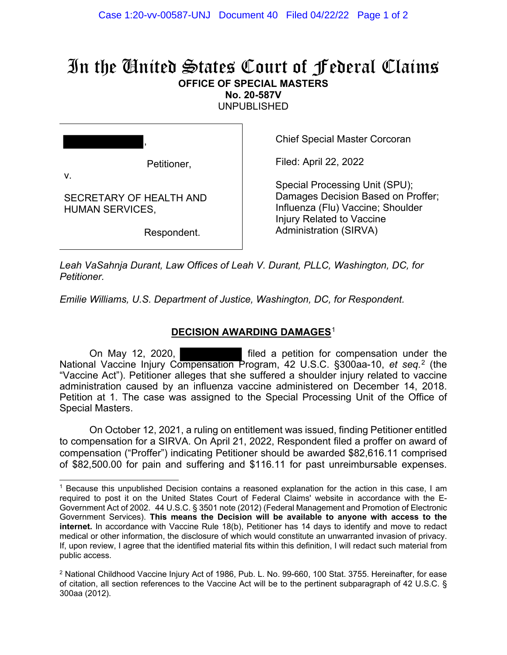## In the United States Court of Federal Claims **OFFICE OF SPECIAL MASTERS**

**No. 20-587V** 

UNPUBLISHED

|  | Petitioner. |
|--|-------------|

Petitioner,

Chief Special Master Corcoran

Filed: April 22, 2022

v.

SECRETARY OF HEALTH AND HUMAN SERVICES,

Respondent.

Special Processing Unit (SPU); Damages Decision Based on Proffer; Influenza (Flu) Vaccine; Shoulder Injury Related to Vaccine Administration (SIRVA)

*Leah VaSahnja Durant, Law Offices of Leah V. Durant, PLLC, Washington, DC, for Petitioner.*

*Emilie Williams, U.S. Department of Justice, Washington, DC, for Respondent.*

## **DECISION AWARDING DAMAGES**[1](#page-0-0)

On May 12, 2020, filed a petition for compensation under the National Vaccine Injury Compensation Program, 42 U.S.C. §300aa-10, *et seq.*[2](#page-0-1) (the "Vaccine Act"). Petitioner alleges that she suffered a shoulder injury related to vaccine administration caused by an influenza vaccine administered on December 14, 2018. Petition at 1. The case was assigned to the Special Processing Unit of the Office of Special Masters.

On October 12, 2021, a ruling on entitlement was issued, finding Petitioner entitled to compensation for a SIRVA. On April 21, 2022, Respondent filed a proffer on award of compensation ("Proffer") indicating Petitioner should be awarded \$82,616.11 comprised of \$82,500.00 for pain and suffering and \$116.11 for past unreimbursable expenses.

<span id="page-0-0"></span><sup>1</sup> Because this unpublished Decision contains a reasoned explanation for the action in this case, I am required to post it on the United States Court of Federal Claims' website in accordance with the E-Government Act of 2002. 44 U.S.C. § 3501 note (2012) (Federal Management and Promotion of Electronic Government Services). **This means the Decision will be available to anyone with access to the internet.** In accordance with Vaccine Rule 18(b), Petitioner has 14 days to identify and move to redact medical or other information, the disclosure of which would constitute an unwarranted invasion of privacy. If, upon review, I agree that the identified material fits within this definition, I will redact such material from public access.

<span id="page-0-1"></span><sup>2</sup> National Childhood Vaccine Injury Act of 1986, Pub. L. No. 99-660, 100 Stat. 3755. Hereinafter, for ease of citation, all section references to the Vaccine Act will be to the pertinent subparagraph of 42 U.S.C. § 300aa (2012).